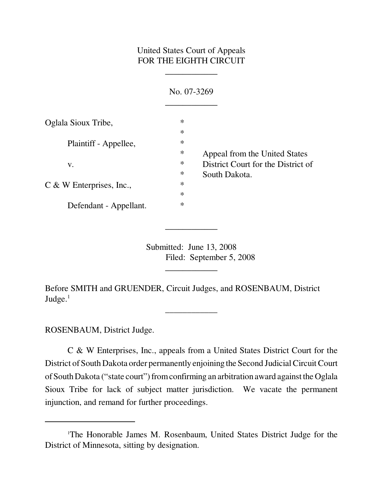# United States Court of Appeals FOR THE EIGHTH CIRCUIT

<u>oooo oo dhaalaa ah</u>

|                            | No. 07-3269 |                                    |
|----------------------------|-------------|------------------------------------|
| Oglala Sioux Tribe,        | ∗           |                                    |
|                            | $\ast$      |                                    |
| Plaintiff - Appellee,      | $\ast$      |                                    |
|                            | $\ast$      | Appeal from the United States      |
| V.                         | ∗           | District Court for the District of |
|                            | ∗           | South Dakota.                      |
| $C$ & W Enterprises, Inc., | ∗           |                                    |
|                            | $\ast$      |                                    |
| Defendant - Appellant.     | $\ast$      |                                    |

Submitted: June 13, 2008 Filed: September 5, 2008

OOOOOOOOOOOO

<u>oooo oo dhaalaa ah</u>

\_\_\_\_\_\_\_\_\_\_\_\_

Before SMITH and GRUENDER, Circuit Judges, and ROSENBAUM, District Judge. $<sup>1</sup>$ </sup>

ROSENBAUM, District Judge.

C & W Enterprises, Inc., appeals from a United States District Court for the District of South Dakota order permanently enjoining the Second Judicial Circuit Court of South Dakota ("state court") from confirming an arbitration award against the Oglala Sioux Tribe for lack of subject matter jurisdiction. We vacate the permanent injunction, and remand for further proceedings.

<sup>1</sup>The Honorable James M. Rosenbaum, United States District Judge for the District of Minnesota, sitting by designation.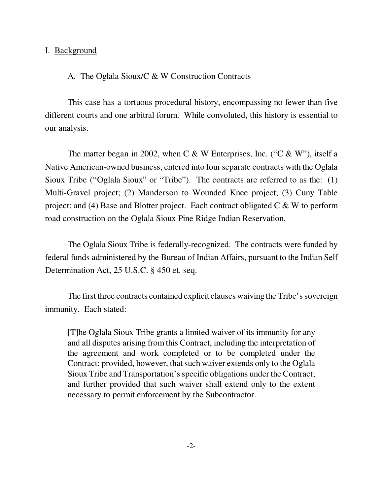## I. Background

#### A. The Oglala Sioux/C & W Construction Contracts

This case has a tortuous procedural history, encompassing no fewer than five different courts and one arbitral forum. While convoluted, this history is essential to our analysis.

The matter began in 2002, when C & W Enterprises, Inc. ("C & W"), itself a Native American-owned business, entered into four separate contracts with the Oglala Sioux Tribe ("Oglala Sioux" or "Tribe"). The contracts are referred to as the: (1) Multi-Gravel project; (2) Manderson to Wounded Knee project; (3) Cuny Table project; and (4) Base and Blotter project. Each contract obligated  $C \& W$  to perform road construction on the Oglala Sioux Pine Ridge Indian Reservation.

The Oglala Sioux Tribe is federally-recognized. The contracts were funded by federal funds administered by the Bureau of Indian Affairs, pursuant to the Indian Self Determination Act, 25 U.S.C. § 450 et. seq.

The first three contracts contained explicit clauses waiving the Tribe's sovereign immunity. Each stated:

[T]he Oglala Sioux Tribe grants a limited waiver of its immunity for any and all disputes arising from this Contract, including the interpretation of the agreement and work completed or to be completed under the Contract; provided, however, that such waiver extends only to the Oglala Sioux Tribe and Transportation's specific obligations under the Contract; and further provided that such waiver shall extend only to the extent necessary to permit enforcement by the Subcontractor.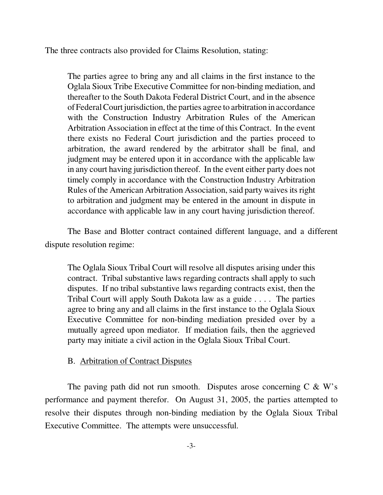The three contracts also provided for Claims Resolution, stating:

The parties agree to bring any and all claims in the first instance to the Oglala Sioux Tribe Executive Committee for non-binding mediation, and thereafter to the South Dakota Federal District Court, and in the absence of Federal Court jurisdiction, the parties agree to arbitration in accordance with the Construction Industry Arbitration Rules of the American Arbitration Association in effect at the time of this Contract. In the event there exists no Federal Court jurisdiction and the parties proceed to arbitration, the award rendered by the arbitrator shall be final, and judgment may be entered upon it in accordance with the applicable law in any court having jurisdiction thereof. In the event either party does not timely comply in accordance with the Construction Industry Arbitration Rules of the American Arbitration Association, said party waives its right to arbitration and judgment may be entered in the amount in dispute in accordance with applicable law in any court having jurisdiction thereof.

The Base and Blotter contract contained different language, and a different dispute resolution regime:

The Oglala Sioux Tribal Court will resolve all disputes arising under this contract. Tribal substantive laws regarding contracts shall apply to such disputes. If no tribal substantive laws regarding contracts exist, then the Tribal Court will apply South Dakota law as a guide . . . . The parties agree to bring any and all claims in the first instance to the Oglala Sioux Executive Committee for non-binding mediation presided over by a mutually agreed upon mediator. If mediation fails, then the aggrieved party may initiate a civil action in the Oglala Sioux Tribal Court.

#### B. Arbitration of Contract Disputes

The paving path did not run smooth. Disputes arose concerning  $C \& W$ 's performance and payment therefor. On August 31, 2005, the parties attempted to resolve their disputes through non-binding mediation by the Oglala Sioux Tribal Executive Committee. The attempts were unsuccessful.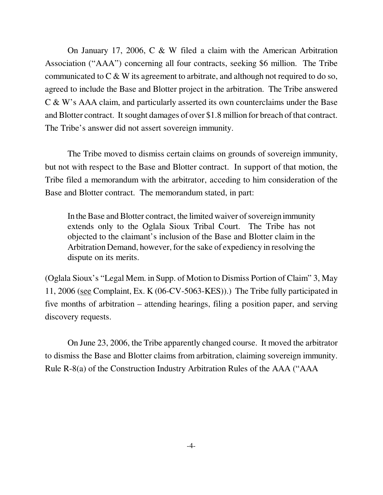On January 17, 2006, C & W filed a claim with the American Arbitration Association ("AAA") concerning all four contracts, seeking \$6 million. The Tribe communicated to C & W its agreement to arbitrate, and although not required to do so, agreed to include the Base and Blotter project in the arbitration. The Tribe answered C & W's AAA claim, and particularly asserted its own counterclaims under the Base and Blotter contract. It sought damages of over \$1.8 million for breach of that contract. The Tribe's answer did not assert sovereign immunity.

The Tribe moved to dismiss certain claims on grounds of sovereign immunity, but not with respect to the Base and Blotter contract. In support of that motion, the Tribe filed a memorandum with the arbitrator, acceding to him consideration of the Base and Blotter contract. The memorandum stated, in part:

In the Base and Blotter contract, the limited waiver of sovereign immunity extends only to the Oglala Sioux Tribal Court. The Tribe has not objected to the claimant's inclusion of the Base and Blotter claim in the Arbitration Demand, however, for the sake of expediency in resolving the dispute on its merits.

(Oglala Sioux's "Legal Mem. in Supp. of Motion to Dismiss Portion of Claim" 3, May 11, 2006 (see Complaint, Ex. K (06-CV-5063-KES)).) The Tribe fully participated in five months of arbitration – attending hearings, filing a position paper, and serving discovery requests.

On June 23, 2006, the Tribe apparently changed course. It moved the arbitrator to dismiss the Base and Blotter claims from arbitration, claiming sovereign immunity. Rule R-8(a) of the Construction Industry Arbitration Rules of the AAA ("AAA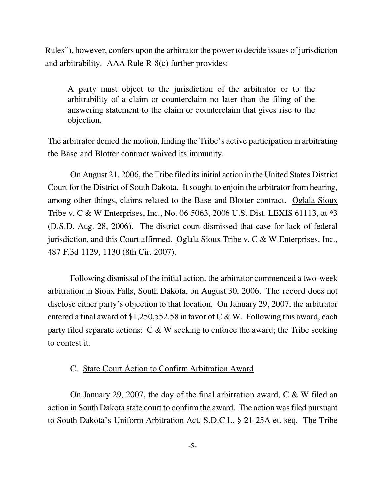Rules"), however, confers upon the arbitrator the power to decide issues of jurisdiction and arbitrability. AAA Rule R-8(c) further provides:

A party must object to the jurisdiction of the arbitrator or to the arbitrability of a claim or counterclaim no later than the filing of the answering statement to the claim or counterclaim that gives rise to the objection.

The arbitrator denied the motion, finding the Tribe's active participation in arbitrating the Base and Blotter contract waived its immunity.

On August 21, 2006, the Tribe filed its initial action in the United States District Court for the District of South Dakota. It sought to enjoin the arbitrator from hearing, among other things, claims related to the Base and Blotter contract. Oglala Sioux Tribe v. C & W Enterprises, Inc., No. 06-5063, 2006 U.S. Dist. LEXIS 61113, at \*3 (D.S.D. Aug. 28, 2006). The district court dismissed that case for lack of federal jurisdiction, and this Court affirmed. Oglala Sioux Tribe v. C & W Enterprises, Inc., 487 F.3d 1129, 1130 (8th Cir. 2007).

Following dismissal of the initial action, the arbitrator commenced a two-week arbitration in Sioux Falls, South Dakota, on August 30, 2006. The record does not disclose either party's objection to that location. On January 29, 2007, the arbitrator entered a final award of \$1,250,552.58 in favor of  $C & W$ . Following this award, each party filed separate actions:  $C & W$  seeking to enforce the award; the Tribe seeking to contest it.

## C. State Court Action to Confirm Arbitration Award

On January 29, 2007, the day of the final arbitration award, C & W filed an action in South Dakota state court to confirm the award. The action was filed pursuant to South Dakota's Uniform Arbitration Act, S.D.C.L. § 21-25A et. seq. The Tribe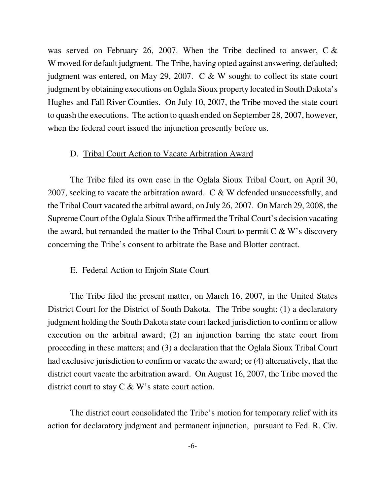was served on February 26, 2007. When the Tribe declined to answer, C & W moved for default judgment. The Tribe, having opted against answering, defaulted; judgment was entered, on May 29, 2007. C & W sought to collect its state court judgment by obtaining executions on Oglala Sioux property located in South Dakota's Hughes and Fall River Counties. On July 10, 2007, the Tribe moved the state court to quash the executions. The action to quash ended on September 28, 2007, however, when the federal court issued the injunction presently before us.

#### D. Tribal Court Action to Vacate Arbitration Award

The Tribe filed its own case in the Oglala Sioux Tribal Court, on April 30, 2007, seeking to vacate the arbitration award. C & W defended unsuccessfully, and the Tribal Court vacated the arbitral award, on July 26, 2007. On March 29, 2008, the Supreme Court of the Oglala Sioux Tribe affirmed the Tribal Court's decision vacating the award, but remanded the matter to the Tribal Court to permit  $C & W$ 's discovery concerning the Tribe's consent to arbitrate the Base and Blotter contract.

#### E. Federal Action to Enjoin State Court

The Tribe filed the present matter, on March 16, 2007, in the United States District Court for the District of South Dakota. The Tribe sought: (1) a declaratory judgment holding the South Dakota state court lacked jurisdiction to confirm or allow execution on the arbitral award; (2) an injunction barring the state court from proceeding in these matters; and (3) a declaration that the Oglala Sioux Tribal Court had exclusive jurisdiction to confirm or vacate the award; or (4) alternatively, that the district court vacate the arbitration award. On August 16, 2007, the Tribe moved the district court to stay C & W's state court action.

The district court consolidated the Tribe's motion for temporary relief with its action for declaratory judgment and permanent injunction, pursuant to Fed. R. Civ.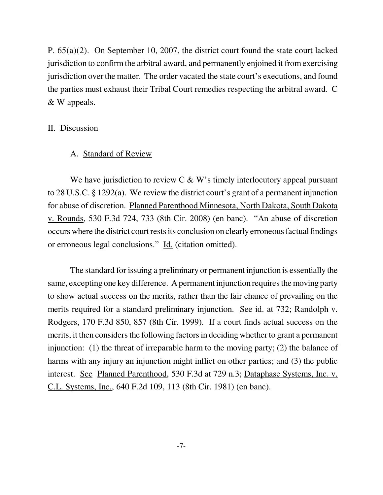P. 65(a)(2). On September 10, 2007, the district court found the state court lacked jurisdiction to confirm the arbitral award, and permanently enjoined it from exercising jurisdiction over the matter. The order vacated the state court's executions, and found the parties must exhaust their Tribal Court remedies respecting the arbitral award. C & W appeals.

#### II. Discussion

# A. Standard of Review

We have jurisdiction to review  $C \& W$ 's timely interlocutory appeal pursuant to 28 U.S.C. § 1292(a). We review the district court's grant of a permanent injunction for abuse of discretion. Planned Parenthood Minnesota, North Dakota, South Dakota v. Rounds, 530 F.3d 724, 733 (8th Cir. 2008) (en banc). "An abuse of discretion occurs where the district court rests its conclusion on clearly erroneous factual findings or erroneous legal conclusions." Id. (citation omitted).

The standard for issuing a preliminary or permanent injunction is essentially the same, excepting one key difference. A permanent injunction requires the moving party to show actual success on the merits, rather than the fair chance of prevailing on the merits required for a standard preliminary injunction. See id. at 732; Randolph v. Rodgers, 170 F.3d 850, 857 (8th Cir. 1999). If a court finds actual success on the merits, it then considers the following factors in deciding whether to grant a permanent injunction: (1) the threat of irreparable harm to the moving party; (2) the balance of harms with any injury an injunction might inflict on other parties; and (3) the public interest. See Planned Parenthood, 530 F.3d at 729 n.3; Dataphase Systems, Inc. v. C.L. Systems, Inc., 640 F.2d 109, 113 (8th Cir. 1981) (en banc).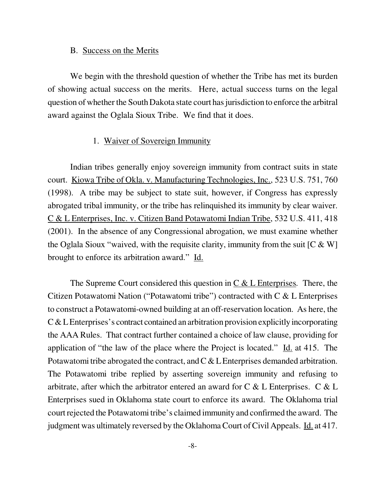#### B. Success on the Merits

We begin with the threshold question of whether the Tribe has met its burden of showing actual success on the merits. Here, actual success turns on the legal question of whether the South Dakota state court has jurisdiction to enforce the arbitral award against the Oglala Sioux Tribe. We find that it does.

#### 1. Waiver of Sovereign Immunity

Indian tribes generally enjoy sovereign immunity from contract suits in state court. Kiowa Tribe of Okla. v. Manufacturing Technologies, Inc., 523 U.S. 751, 760 (1998). A tribe may be subject to state suit, however, if Congress has expressly abrogated tribal immunity, or the tribe has relinquished its immunity by clear waiver. C & L Enterprises, Inc. v. Citizen Band Potawatomi Indian Tribe, 532 U.S. 411, 418 (2001). In the absence of any Congressional abrogation, we must examine whether the Oglala Sioux "waived, with the requisite clarity, immunity from the suit  $[C \& W]$ brought to enforce its arbitration award." Id.

The Supreme Court considered this question in C & L Enterprises*.* There, the Citizen Potawatomi Nation ("Potawatomi tribe") contracted with C & L Enterprises to construct a Potawatomi-owned building at an off-reservation location. As here, the C & L Enterprises's contract contained an arbitration provision explicitly incorporating the AAA Rules. That contract further contained a choice of law clause, providing for application of "the law of the place where the Project is located." Id. at 415. The Potawatomi tribe abrogated the contract, and C & L Enterprises demanded arbitration. The Potawatomi tribe replied by asserting sovereign immunity and refusing to arbitrate, after which the arbitrator entered an award for  $C \& L$  Enterprises.  $C \& L$ Enterprises sued in Oklahoma state court to enforce its award. The Oklahoma trial court rejected the Potawatomi tribe's claimed immunity and confirmed the award. The judgment was ultimately reversed by the Oklahoma Court of Civil Appeals. Id. at 417.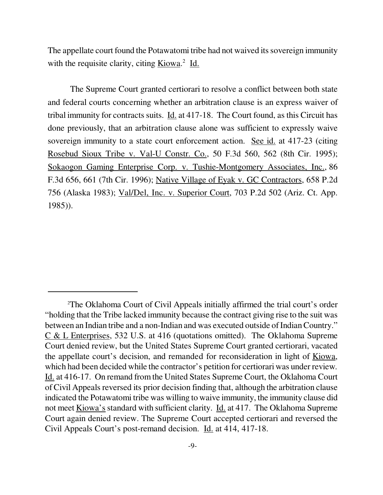The appellate court found the Potawatomi tribe had not waived its sovereign immunity with the requisite clarity, citing Kiowa.<sup>2</sup> Id.

The Supreme Court granted certiorari to resolve a conflict between both state and federal courts concerning whether an arbitration clause is an express waiver of tribal immunity for contracts suits. Id. at 417-18. The Court found, as this Circuit has done previously, that an arbitration clause alone was sufficient to expressly waive sovereign immunity to a state court enforcement action. See id. at 417-23 (citing Rosebud Sioux Tribe v. Val-U Constr. Co., 50 F.3d 560, 562 (8th Cir. 1995); Sokaogon Gaming Enterprise Corp. v. Tushie-Montgomery Associates, Inc., 86 F.3d 656, 661 (7th Cir. 1996); Native Village of Eyak v. GC Contractors, 658 P.2d 756 (Alaska 1983); Val/Del, Inc. v. Superior Court, 703 P.2d 502 (Ariz. Ct. App. 1985)).

<sup>2</sup>The Oklahoma Court of Civil Appeals initially affirmed the trial court's order "holding that the Tribe lacked immunity because the contract giving rise to the suit was between an Indian tribe and a non-Indian and was executed outside of Indian Country." C & L Enterprises, 532 U.S. at 416 (quotations omitted). The Oklahoma Supreme Court denied review, but the United States Supreme Court granted certiorari, vacated the appellate court's decision, and remanded for reconsideration in light of Kiowa, which had been decided while the contractor's petition for certiorari was under review*.* Id. at 416-17. On remand from the United States Supreme Court, the Oklahoma Court of Civil Appeals reversed its prior decision finding that, although the arbitration clause indicated the Potawatomi tribe was willing to waive immunity, the immunity clause did not meet Kiowa's standard with sufficient clarity. Id. at 417. The Oklahoma Supreme Court again denied review. The Supreme Court accepted certiorari and reversed the Civil Appeals Court's post-remand decision. Id. at 414, 417-18.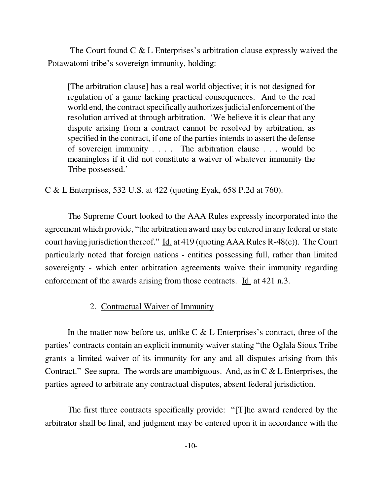The Court found C & L Enterprises's arbitration clause expressly waived the Potawatomi tribe's sovereign immunity, holding:

[The arbitration clause] has a real world objective; it is not designed for regulation of a game lacking practical consequences. And to the real world end, the contract specifically authorizes judicial enforcement of the resolution arrived at through arbitration. 'We believe it is clear that any dispute arising from a contract cannot be resolved by arbitration, as specified in the contract, if one of the parties intends to assert the defense of sovereign immunity . . . . The arbitration clause . . . would be meaningless if it did not constitute a waiver of whatever immunity the Tribe possessed.'

 $C & L$  Enterprises, 532 U.S. at 422 (quoting Eyak, 658 P.2d at 760).

The Supreme Court looked to the AAA Rules expressly incorporated into the agreement which provide, "the arbitration award may be entered in any federal or state court having jurisdiction thereof." Id. at 419 (quoting AAA Rules R-48(c)). The Court particularly noted that foreign nations - entities possessing full, rather than limited sovereignty - which enter arbitration agreements waive their immunity regarding enforcement of the awards arising from those contracts. Id. at 421 n.3.

## 2. Contractual Waiver of Immunity

In the matter now before us, unlike  $C \& L$  Enterprises's contract, three of the parties' contracts contain an explicit immunity waiver stating "the Oglala Sioux Tribe grants a limited waiver of its immunity for any and all disputes arising from this Contract." See supra. The words are unambiguous. And, as in  $C & L$  Enterprises, the parties agreed to arbitrate any contractual disputes, absent federal jurisdiction.

The first three contracts specifically provide: "[T]he award rendered by the arbitrator shall be final, and judgment may be entered upon it in accordance with the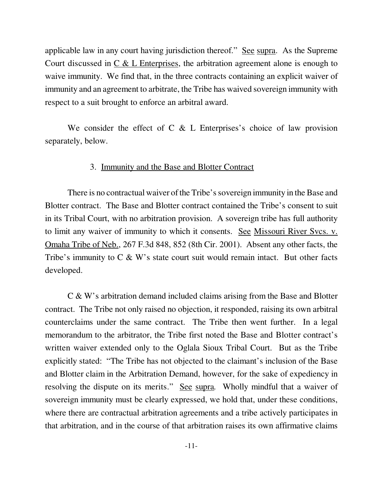applicable law in any court having jurisdiction thereof." See supra. As the Supreme Court discussed in  $C \& L$  Enterprises, the arbitration agreement alone is enough to waive immunity. We find that, in the three contracts containing an explicit waiver of immunity and an agreement to arbitrate, the Tribe has waived sovereign immunity with respect to a suit brought to enforce an arbitral award.

We consider the effect of C  $\&$  L Enterprises's choice of law provision separately, below.

#### 3. Immunity and the Base and Blotter Contract

There is no contractual waiver of the Tribe's sovereign immunity in the Base and Blotter contract. The Base and Blotter contract contained the Tribe's consent to suit in its Tribal Court, with no arbitration provision. A sovereign tribe has full authority to limit any waiver of immunity to which it consents. See Missouri River Svcs. v. Omaha Tribe of Neb., 267 F.3d 848, 852 (8th Cir. 2001). Absent any other facts, the Tribe's immunity to  $C \& W$ 's state court suit would remain intact. But other facts developed.

C & W's arbitration demand included claims arising from the Base and Blotter contract. The Tribe not only raised no objection, it responded, raising its own arbitral counterclaims under the same contract. The Tribe then went further. In a legal memorandum to the arbitrator, the Tribe first noted the Base and Blotter contract's written waiver extended only to the Oglala Sioux Tribal Court. But as the Tribe explicitly stated: "The Tribe has not objected to the claimant's inclusion of the Base and Blotter claim in the Arbitration Demand, however, for the sake of expediency in resolving the dispute on its merits." See supra*.* Wholly mindful that a waiver of sovereign immunity must be clearly expressed, we hold that, under these conditions, where there are contractual arbitration agreements and a tribe actively participates in that arbitration, and in the course of that arbitration raises its own affirmative claims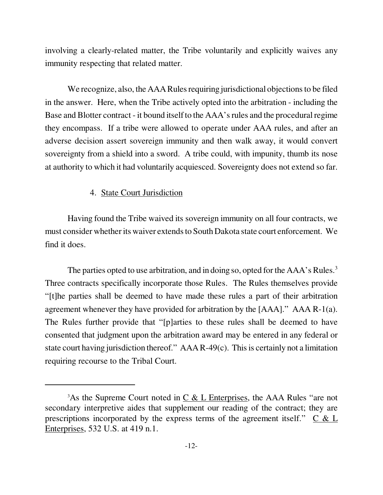involving a clearly-related matter, the Tribe voluntarily and explicitly waives any immunity respecting that related matter.

We recognize, also, the AAA Rules requiring jurisdictional objections to be filed in the answer. Here, when the Tribe actively opted into the arbitration - including the Base and Blotter contract - it bound itself to the AAA's rules and the procedural regime they encompass. If a tribe were allowed to operate under AAA rules, and after an adverse decision assert sovereign immunity and then walk away, it would convert sovereignty from a shield into a sword. A tribe could, with impunity, thumb its nose at authority to which it had voluntarily acquiesced. Sovereignty does not extend so far.

4. State Court Jurisdiction

Having found the Tribe waived its sovereign immunity on all four contracts, we must consider whether its waiver extends to South Dakota state court enforcement. We find it does.

The parties opted to use arbitration, and in doing so, opted for the AAA's Rules.<sup>3</sup> Three contracts specifically incorporate those Rules. The Rules themselves provide "[t]he parties shall be deemed to have made these rules a part of their arbitration agreement whenever they have provided for arbitration by the [AAA]." AAA R-1(a). The Rules further provide that "[p]arties to these rules shall be deemed to have consented that judgment upon the arbitration award may be entered in any federal or state court having jurisdiction thereof." AAA R-49(c). This is certainly not a limitation requiring recourse to the Tribal Court.

 $3$ As the Supreme Court noted in C & L Enterprises, the AAA Rules "are not secondary interpretive aides that supplement our reading of the contract; they are prescriptions incorporated by the express terms of the agreement itself."  $C & L$ Enterprises, 532 U.S. at 419 n.1.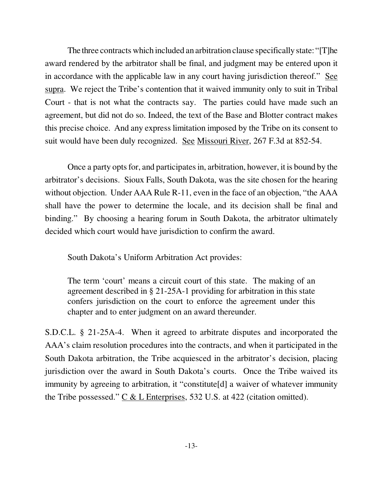The three contracts which included an arbitration clause specifically state: "[T]he award rendered by the arbitrator shall be final, and judgment may be entered upon it in accordance with the applicable law in any court having jurisdiction thereof." See supra. We reject the Tribe's contention that it waived immunity only to suit in Tribal Court - that is not what the contracts say. The parties could have made such an agreement, but did not do so. Indeed, the text of the Base and Blotter contract makes this precise choice. And any express limitation imposed by the Tribe on its consent to suit would have been duly recognized. See Missouri River, 267 F.3d at 852-54.

Once a party opts for, and participates in, arbitration, however, it is bound by the arbitrator's decisions. Sioux Falls, South Dakota, was the site chosen for the hearing without objection. Under AAA Rule R-11, even in the face of an objection, "the AAA shall have the power to determine the locale, and its decision shall be final and binding." By choosing a hearing forum in South Dakota, the arbitrator ultimately decided which court would have jurisdiction to confirm the award.

South Dakota's Uniform Arbitration Act provides:

The term 'court' means a circuit court of this state. The making of an agreement described in § 21-25A-1 providing for arbitration in this state confers jurisdiction on the court to enforce the agreement under this chapter and to enter judgment on an award thereunder.

S.D.C.L. § 21-25A-4. When it agreed to arbitrate disputes and incorporated the AAA's claim resolution procedures into the contracts, and when it participated in the South Dakota arbitration, the Tribe acquiesced in the arbitrator's decision, placing jurisdiction over the award in South Dakota's courts. Once the Tribe waived its immunity by agreeing to arbitration, it "constitute[d] a waiver of whatever immunity the Tribe possessed."  $C & L$  Enterprises, 532 U.S. at 422 (citation omitted).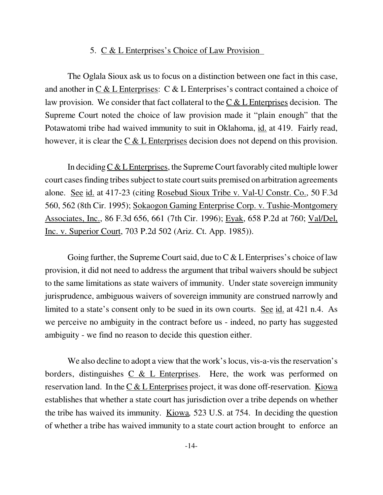# 5. C & L Enterprises's Choice of Law Provision

The Oglala Sioux ask us to focus on a distinction between one fact in this case, and another in  $C & L$  Enterprises:  $C & L$  Enterprises's contract contained a choice of law provision. We consider that fact collateral to the  $C < L$  Enterprises decision. The Supreme Court noted the choice of law provision made it "plain enough" that the Potawatomi tribe had waived immunity to suit in Oklahoma, id. at 419. Fairly read, however, it is clear the C & L Enterprises decision does not depend on this provision.

In deciding  $C & L$  Enterprises, the Supreme Court favorably cited multiple lower court cases finding tribes subject to state court suits premised on arbitration agreements alone. See id. at 417-23 (citing Rosebud Sioux Tribe v. Val-U Constr. Co., 50 F.3d 560, 562 (8th Cir. 1995); Sokaogon Gaming Enterprise Corp. v. Tushie-Montgomery Associates, Inc., 86 F.3d 656, 661 (7th Cir. 1996); Eyak, 658 P.2d at 760; Val/Del, Inc. v. Superior Court, 703 P.2d 502 (Ariz. Ct. App. 1985)).

Going further, the Supreme Court said, due to  $C < L$  Enterprises's choice of law provision, it did not need to address the argument that tribal waivers should be subject to the same limitations as state waivers of immunity. Under state sovereign immunity jurisprudence, ambiguous waivers of sovereign immunity are construed narrowly and limited to a state's consent only to be sued in its own courts. See id. at 421 n.4. As we perceive no ambiguity in the contract before us - indeed, no party has suggested ambiguity - we find no reason to decide this question either.

We also decline to adopt a view that the work's locus, vis-a-vis the reservation's borders, distinguishes  $C \& L$  Enterprises. Here, the work was performed on reservation land. In the  $C & L$  Enterprises project, it was done off-reservation. Kiowa establishes that whether a state court has jurisdiction over a tribe depends on whether the tribe has waived its immunity. Kiowa*,* 523 U.S. at 754. In deciding the question of whether a tribe has waived immunity to a state court action brought to enforce an